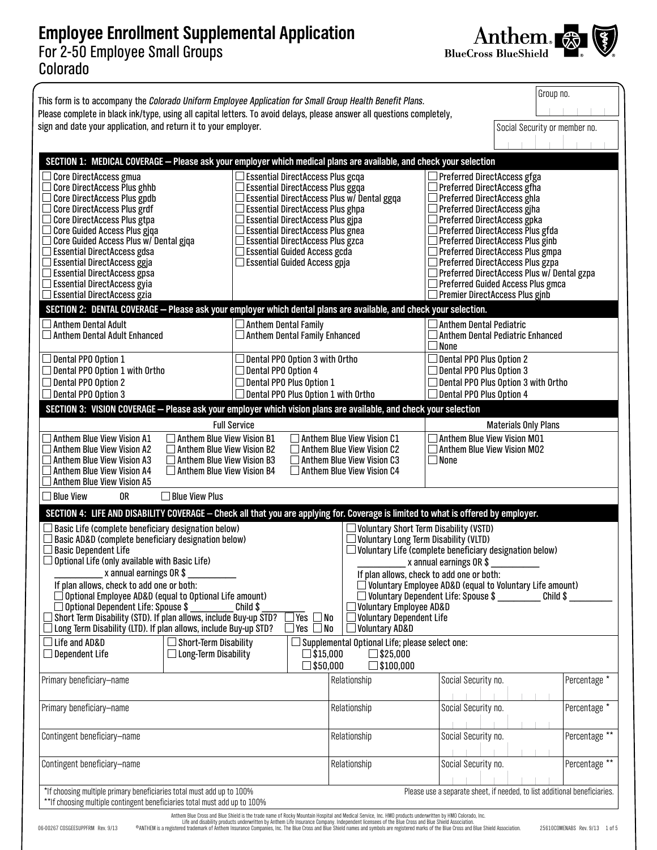## **Employee Enrollment Supplemental Application** For 2-50 Employee Small Groups Colorado



| This form is to accompany the Colorado Uniform Employee Application for Small Group Health Benefit Plans.<br>Please complete in black ink/type, using all capital letters. To avoid delays, please answer all questions completely,                                                                                                                                                                                                                                                                                                                                                                                                                                                                                                                                                                                                                                                                                                                                                                                                                                                                                                                                   |                                                                                                                                                                                                                                                                                                                         |                                                              |                                                                                                                                                                                                                                                                                                                                                                                                                                                                                 |                                                                                                                                                     |                               | Group no.     |  |  |  |  |
|-----------------------------------------------------------------------------------------------------------------------------------------------------------------------------------------------------------------------------------------------------------------------------------------------------------------------------------------------------------------------------------------------------------------------------------------------------------------------------------------------------------------------------------------------------------------------------------------------------------------------------------------------------------------------------------------------------------------------------------------------------------------------------------------------------------------------------------------------------------------------------------------------------------------------------------------------------------------------------------------------------------------------------------------------------------------------------------------------------------------------------------------------------------------------|-------------------------------------------------------------------------------------------------------------------------------------------------------------------------------------------------------------------------------------------------------------------------------------------------------------------------|--------------------------------------------------------------|---------------------------------------------------------------------------------------------------------------------------------------------------------------------------------------------------------------------------------------------------------------------------------------------------------------------------------------------------------------------------------------------------------------------------------------------------------------------------------|-----------------------------------------------------------------------------------------------------------------------------------------------------|-------------------------------|---------------|--|--|--|--|
| sign and date your application, and return it to your employer.                                                                                                                                                                                                                                                                                                                                                                                                                                                                                                                                                                                                                                                                                                                                                                                                                                                                                                                                                                                                                                                                                                       |                                                                                                                                                                                                                                                                                                                         |                                                              |                                                                                                                                                                                                                                                                                                                                                                                                                                                                                 |                                                                                                                                                     | Social Security or member no. |               |  |  |  |  |
|                                                                                                                                                                                                                                                                                                                                                                                                                                                                                                                                                                                                                                                                                                                                                                                                                                                                                                                                                                                                                                                                                                                                                                       |                                                                                                                                                                                                                                                                                                                         |                                                              |                                                                                                                                                                                                                                                                                                                                                                                                                                                                                 |                                                                                                                                                     |                               |               |  |  |  |  |
| SECTION 1: MEDICAL COVERAGE - Please ask your employer which medical plans are available, and check your selection<br><b>Core DirectAccess gmua</b><br><b>Core DirectAccess Plus ghhb</b><br><b>Core DirectAccess Plus gpdb</b><br><b>Core DirectAccess Plus grdf</b><br>Core DirectAccess Plus gtpa<br><b>Core Guided Access Plus gjqa</b><br>Core Guided Access Plus w/ Dental giga<br><b>Essential DirectAccess gdsa</b><br><b>Essential DirectAccess ggja</b><br><b>Essential DirectAccess gpsa</b><br><b>Essential DirectAccess gyia</b><br><b>Essential DirectAccess gzia</b>                                                                                                                                                                                                                                                                                                                                                                                                                                                                                                                                                                                   | Essential DirectAccess Plus gcqa<br><b>Essential DirectAccess Plus ggqa</b><br>Essential DirectAccess Plus ghpa<br><b>Essential DirectAccess Plus gipa</b><br><b>Essential DirectAccess Plus gnea</b><br><b>Essential DirectAccess Plus gzca</b><br>Essential Guided Access gcda<br>$\Box$ Essential Guided Access gpja | <b>Essential DirectAccess Plus w/ Dental ggqa</b>            | $\Box$ Preferred DirectAccess gfga<br>$\Box$ Preferred DirectAccess gfha<br>Preferred DirectAccess ghla<br>Preferred DirectAccess giha<br>□ Preferred DirectAccess gpka<br>$\Box$ Preferred DirectAccess Plus gfda<br>Preferred DirectAccess Plus ginb<br>$\Box$ Preferred DirectAccess Plus gmpa<br>$\Box$ Preferred DirectAccess Plus gzpa<br>Preferred DirectAccess Plus w/ Dental gzpa<br>$\Box$ Preferred Guided Access Plus gmca<br>$\Box$ Premier DirectAccess Plus gjnb |                                                                                                                                                     |                               |               |  |  |  |  |
| SECTION 2: DENTAL COVERAGE - Please ask your employer which dental plans are available, and check your selection.                                                                                                                                                                                                                                                                                                                                                                                                                                                                                                                                                                                                                                                                                                                                                                                                                                                                                                                                                                                                                                                     |                                                                                                                                                                                                                                                                                                                         |                                                              |                                                                                                                                                                                                                                                                                                                                                                                                                                                                                 |                                                                                                                                                     |                               |               |  |  |  |  |
| Anthem Dental Adult<br><b>Anthem Dental Adult Enhanced</b>                                                                                                                                                                                                                                                                                                                                                                                                                                                                                                                                                                                                                                                                                                                                                                                                                                                                                                                                                                                                                                                                                                            |                                                                                                                                                                                                                                                                                                                         | $\Box$ Anthem Dental Family<br>Anthem Dental Family Enhanced |                                                                                                                                                                                                                                                                                                                                                                                                                                                                                 | $\Box$ Anthem Dental Pediatric<br>□ Anthem Dental Pediatric Enhanced<br>$\Box$ None                                                                 |                               |               |  |  |  |  |
| Dental PPO Option 3 with Ortho<br>$\Box$ Dental PPO Option $1$<br>$\Box$ Dental PPO Option 1 with Ortho<br>$\Box$ Dental PPO Option 4<br>Dental PPO Option 2<br>Dental PPO Plus Option 1<br>$\Box$ Dental PPO Plus Option 1 with Ortho<br>$\Box$ Dental PPO Option 3                                                                                                                                                                                                                                                                                                                                                                                                                                                                                                                                                                                                                                                                                                                                                                                                                                                                                                  |                                                                                                                                                                                                                                                                                                                         |                                                              |                                                                                                                                                                                                                                                                                                                                                                                                                                                                                 | $\Box$ Dental PPO Plus Option 2<br>$\Box$ Dental PPO Plus Option 3<br>$\Box$ Dental PPO Plus Option 3 with Ortho<br>$\Box$ Dental PPO Plus Option 4 |                               |               |  |  |  |  |
| SECTION 3: VISION COVERAGE - Please ask your employer which vision plans are available, and check your selection                                                                                                                                                                                                                                                                                                                                                                                                                                                                                                                                                                                                                                                                                                                                                                                                                                                                                                                                                                                                                                                      |                                                                                                                                                                                                                                                                                                                         |                                                              |                                                                                                                                                                                                                                                                                                                                                                                                                                                                                 |                                                                                                                                                     |                               |               |  |  |  |  |
|                                                                                                                                                                                                                                                                                                                                                                                                                                                                                                                                                                                                                                                                                                                                                                                                                                                                                                                                                                                                                                                                                                                                                                       | <b>Full Service</b>                                                                                                                                                                                                                                                                                                     |                                                              |                                                                                                                                                                                                                                                                                                                                                                                                                                                                                 |                                                                                                                                                     | <b>Materials Only Plans</b>   |               |  |  |  |  |
| Anthem Blue View Vision A1<br><b>Anthem Blue View Vision A2</b><br>Anthem Blue View Vision A3<br>Anthem Blue View Vision A4<br><b>Anthem Blue View Vision A5</b>                                                                                                                                                                                                                                                                                                                                                                                                                                                                                                                                                                                                                                                                                                                                                                                                                                                                                                                                                                                                      | $\Box$ Anthem Blue View Vision B1<br>$\Box$ Anthem Blue View Vision B2<br>$\Box$ Anthem Blue View Vision B3<br>$\Box$ Anthem Blue View Vision B4                                                                                                                                                                        |                                                              | $\Box$ Anthem Blue View Vision C1<br>$\Box$ Anthem Blue View Vision C2<br>$\Box$ Anthem Blue View Vision C3<br>$\Box$ Anthem Blue View Vision C4                                                                                                                                                                                                                                                                                                                                | $\Box$ Anthem Blue View Vision M01<br>$\Box$ Anthem Blue View Vision M02<br>$\square$ None                                                          |                               |               |  |  |  |  |
| $\Box$ Blue View<br>0R                                                                                                                                                                                                                                                                                                                                                                                                                                                                                                                                                                                                                                                                                                                                                                                                                                                                                                                                                                                                                                                                                                                                                | $\Box$ Blue View Plus                                                                                                                                                                                                                                                                                                   |                                                              |                                                                                                                                                                                                                                                                                                                                                                                                                                                                                 |                                                                                                                                                     |                               |               |  |  |  |  |
| SECTION 4: LIFE AND DISABILITY COVERAGE - Check all that you are applying for. Coverage is limited to what is offered by employer.<br>Basic Life (complete beneficiary designation below)<br>$\Box$ Voluntary Short Term Disability (VSTD)<br>Basic AD&D (complete beneficiary designation below)<br>$\Box$ Voluntary Long Term Disability (VLTD)<br><b>Basic Dependent Life</b><br>$\Box$ Voluntary Life (complete beneficiary designation below)<br>Optional Life (only available with Basic Life)<br>x annual earnings OR \$<br>x annual earnings OR \$<br>If plan allows, check to add one or both:<br>If plan allows, check to add one or both:<br>Voluntary Employee AD&D (equal to Voluntary Life amount)<br>Optional Employee AD&D (equal to Optional Life amount)<br>$\Box$ Voluntary Dependent Life: Spouse \$ $_{\tiny{\rm s}}$<br>Child \$<br>$\Box$ Voluntary Employee AD&D<br>Optional Dependent Life: Spouse \$<br>Child \$<br>Short Term Disability (STD). If plan allows, include Buy-up STD?<br>∃Yes □No<br>$\Box$ Voluntary Dependent Life<br>Long Term Disability (LTD). If plan allows, include Buy-up STD?<br>⊃Yes □No<br>$\Box$ Voluntary AD&D |                                                                                                                                                                                                                                                                                                                         |                                                              |                                                                                                                                                                                                                                                                                                                                                                                                                                                                                 |                                                                                                                                                     |                               |               |  |  |  |  |
| Life and AD&D<br>$\Box$ Dependent Life                                                                                                                                                                                                                                                                                                                                                                                                                                                                                                                                                                                                                                                                                                                                                                                                                                                                                                                                                                                                                                                                                                                                | Short-Term Disability<br>$\Box$ Long-Term Disability                                                                                                                                                                                                                                                                    | $\Box$ \$15,000<br>$\square$ \$50,000                        | Supplemental Optional Life; please select one:<br>$\square$ \$25,000<br>$\square$ \$100,000                                                                                                                                                                                                                                                                                                                                                                                     |                                                                                                                                                     |                               |               |  |  |  |  |
| Primary beneficiary-name                                                                                                                                                                                                                                                                                                                                                                                                                                                                                                                                                                                                                                                                                                                                                                                                                                                                                                                                                                                                                                                                                                                                              |                                                                                                                                                                                                                                                                                                                         |                                                              | Relationship                                                                                                                                                                                                                                                                                                                                                                                                                                                                    | Social Security no.                                                                                                                                 |                               | Percentage *  |  |  |  |  |
| Primary beneficiary-name                                                                                                                                                                                                                                                                                                                                                                                                                                                                                                                                                                                                                                                                                                                                                                                                                                                                                                                                                                                                                                                                                                                                              |                                                                                                                                                                                                                                                                                                                         |                                                              | Relationship                                                                                                                                                                                                                                                                                                                                                                                                                                                                    | Social Security no.                                                                                                                                 |                               | Percentage *  |  |  |  |  |
| Contingent beneficiary-name                                                                                                                                                                                                                                                                                                                                                                                                                                                                                                                                                                                                                                                                                                                                                                                                                                                                                                                                                                                                                                                                                                                                           |                                                                                                                                                                                                                                                                                                                         |                                                              | Relationship                                                                                                                                                                                                                                                                                                                                                                                                                                                                    | Social Security no.                                                                                                                                 |                               | Percentage ** |  |  |  |  |
| Contingent beneficiary-name                                                                                                                                                                                                                                                                                                                                                                                                                                                                                                                                                                                                                                                                                                                                                                                                                                                                                                                                                                                                                                                                                                                                           |                                                                                                                                                                                                                                                                                                                         | Relationship                                                 | Social Security no.                                                                                                                                                                                                                                                                                                                                                                                                                                                             |                                                                                                                                                     | Percentage **                 |               |  |  |  |  |
|                                                                                                                                                                                                                                                                                                                                                                                                                                                                                                                                                                                                                                                                                                                                                                                                                                                                                                                                                                                                                                                                                                                                                                       |                                                                                                                                                                                                                                                                                                                         |                                                              | Please use a separate sheet, if needed, to list additional beneficiaries.<br>*If choosing multiple primary beneficiaries total must add up to 100%<br>**If choosing multiple contingent beneficiaries total must add up to 100%                                                                                                                                                                                                                                                 |                                                                                                                                                     |                               |               |  |  |  |  |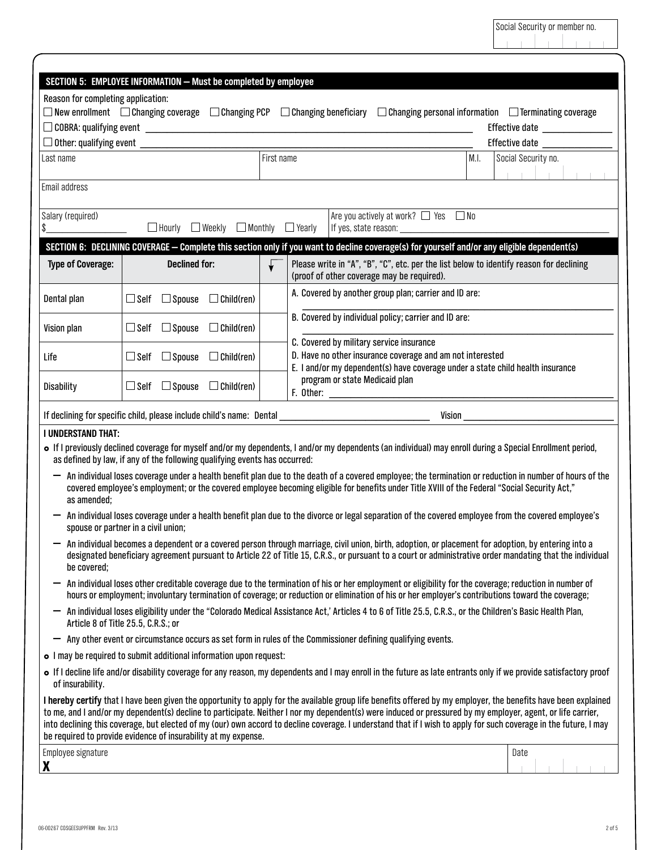| SECTION 5: EMPLOYEE INFORMATION - Must be completed by employee                                                                                                                                                                                                                                                                                                                                                                                                                                                                                                       |                                                                                                                                                                                                                                          |               |                   |                                                                                                                                       |                                                                                                                                                               |                                                                                                                                                                    |      |                     |  |  |
|-----------------------------------------------------------------------------------------------------------------------------------------------------------------------------------------------------------------------------------------------------------------------------------------------------------------------------------------------------------------------------------------------------------------------------------------------------------------------------------------------------------------------------------------------------------------------|------------------------------------------------------------------------------------------------------------------------------------------------------------------------------------------------------------------------------------------|---------------|-------------------|---------------------------------------------------------------------------------------------------------------------------------------|---------------------------------------------------------------------------------------------------------------------------------------------------------------|--------------------------------------------------------------------------------------------------------------------------------------------------------------------|------|---------------------|--|--|
| Reason for completing application:                                                                                                                                                                                                                                                                                                                                                                                                                                                                                                                                    |                                                                                                                                                                                                                                          |               |                   |                                                                                                                                       |                                                                                                                                                               |                                                                                                                                                                    |      |                     |  |  |
| $\Box$ New enrollment $\Box$ Changing coverage $\Box$ Changing PCP $\Box$ Changing beneficiary $\Box$ Changing personal information $\Box$ Terminating coverage<br>Effective date <b>contracts</b>                                                                                                                                                                                                                                                                                                                                                                    |                                                                                                                                                                                                                                          |               |                   |                                                                                                                                       |                                                                                                                                                               |                                                                                                                                                                    |      |                     |  |  |
| $\Box$ Other: qualifying event $\Box$<br>Effective date                                                                                                                                                                                                                                                                                                                                                                                                                                                                                                               |                                                                                                                                                                                                                                          |               |                   |                                                                                                                                       |                                                                                                                                                               |                                                                                                                                                                    |      |                     |  |  |
| Last name                                                                                                                                                                                                                                                                                                                                                                                                                                                                                                                                                             |                                                                                                                                                                                                                                          |               |                   | First name                                                                                                                            |                                                                                                                                                               |                                                                                                                                                                    | M.I. | Social Security no. |  |  |
| Email address                                                                                                                                                                                                                                                                                                                                                                                                                                                                                                                                                         |                                                                                                                                                                                                                                          |               |                   |                                                                                                                                       |                                                                                                                                                               |                                                                                                                                                                    |      |                     |  |  |
| Are you actively at work? $\Box$ Yes $\Box$ No<br>Salary (required)<br>$\Box$ Hourly $\Box$ Weekly $\Box$ Monthly<br>\$<br>$\Box$ Yearly                                                                                                                                                                                                                                                                                                                                                                                                                              |                                                                                                                                                                                                                                          |               |                   |                                                                                                                                       |                                                                                                                                                               |                                                                                                                                                                    |      |                     |  |  |
|                                                                                                                                                                                                                                                                                                                                                                                                                                                                                                                                                                       |                                                                                                                                                                                                                                          |               |                   |                                                                                                                                       |                                                                                                                                                               | SECTION 6: DECLINING COVERAGE - Complete this section only if you want to decline coverage(s) for yourself and/or any eligible dependent(s)                        |      |                     |  |  |
| <b>Declined for:</b><br><b>Type of Coverage:</b>                                                                                                                                                                                                                                                                                                                                                                                                                                                                                                                      |                                                                                                                                                                                                                                          |               |                   | Please write in "A", "B", "C", etc. per the list below to identify reason for declining<br>(proof of other coverage may be required). |                                                                                                                                                               |                                                                                                                                                                    |      |                     |  |  |
| Dental plan                                                                                                                                                                                                                                                                                                                                                                                                                                                                                                                                                           | $\sqcup$ Self                                                                                                                                                                                                                            | $\Box$ Spouse | $\Box$ Child(ren) |                                                                                                                                       | A. Covered by another group plan; carrier and ID are:                                                                                                         |                                                                                                                                                                    |      |                     |  |  |
| Vision plan                                                                                                                                                                                                                                                                                                                                                                                                                                                                                                                                                           | $\sqcup$ Self $\,$                                                                                                                                                                                                                       | $\Box$ Spouse | $\Box$ Child(ren) |                                                                                                                                       | B. Covered by individual policy; carrier and ID are:<br>C. Covered by military service insurance<br>D. Have no other insurance coverage and am not interested |                                                                                                                                                                    |      |                     |  |  |
| Life                                                                                                                                                                                                                                                                                                                                                                                                                                                                                                                                                                  | $\Box$ Self $\Box$ Spouse                                                                                                                                                                                                                |               | $\Box$ Child(ren) |                                                                                                                                       |                                                                                                                                                               |                                                                                                                                                                    |      |                     |  |  |
| Disability                                                                                                                                                                                                                                                                                                                                                                                                                                                                                                                                                            | $\Box$ Self                                                                                                                                                                                                                              | $\Box$ Spouse | $\Box$ Child(ren) |                                                                                                                                       | E. I and/or my dependent(s) have coverage under a state child health insurance<br>program or state Medicaid plan                                              |                                                                                                                                                                    |      |                     |  |  |
| If declining for specific child, please include child's name: Dental __                                                                                                                                                                                                                                                                                                                                                                                                                                                                                               |                                                                                                                                                                                                                                          |               |                   |                                                                                                                                       |                                                                                                                                                               | Vision                                                                                                                                                             |      |                     |  |  |
| <b>I UNDERSTAND THAT:</b>                                                                                                                                                                                                                                                                                                                                                                                                                                                                                                                                             |                                                                                                                                                                                                                                          |               |                   |                                                                                                                                       |                                                                                                                                                               |                                                                                                                                                                    |      |                     |  |  |
|                                                                                                                                                                                                                                                                                                                                                                                                                                                                                                                                                                       | • If I previously declined coverage for myself and/or my dependents, I and/or my dependents (an individual) may enroll during a Special Enrollment period,<br>as defined by law, if any of the following qualifying events has occurred: |               |                   |                                                                                                                                       |                                                                                                                                                               |                                                                                                                                                                    |      |                     |  |  |
| An individual loses coverage under a health benefit plan due to the death of a covered employee; the termination or reduction in number of hours of the<br>covered employee's employment; or the covered employee becoming eligible for benefits under Title XVIII of the Federal "Social Security Act,"<br>as amended;                                                                                                                                                                                                                                               |                                                                                                                                                                                                                                          |               |                   |                                                                                                                                       |                                                                                                                                                               |                                                                                                                                                                    |      |                     |  |  |
| An individual loses coverage under a health benefit plan due to the divorce or legal separation of the covered employee from the covered employee's<br>spouse or partner in a civil union;                                                                                                                                                                                                                                                                                                                                                                            |                                                                                                                                                                                                                                          |               |                   |                                                                                                                                       |                                                                                                                                                               |                                                                                                                                                                    |      |                     |  |  |
| An individual becomes a dependent or a covered person through marriage, civil union, birth, adoption, or placement for adoption, by entering into a<br>designated beneficiary agreement pursuant to Article 22 of Title 15, C.R.S., or pursuant to a court or administrative order mandating that the individual<br>be covered;                                                                                                                                                                                                                                       |                                                                                                                                                                                                                                          |               |                   |                                                                                                                                       |                                                                                                                                                               |                                                                                                                                                                    |      |                     |  |  |
| An individual loses other creditable coverage due to the termination of his or her employment or eligibility for the coverage; reduction in number of<br>hours or employment; involuntary termination of coverage; or reduction or elimination of his or her employer's contributions toward the coverage;                                                                                                                                                                                                                                                            |                                                                                                                                                                                                                                          |               |                   |                                                                                                                                       |                                                                                                                                                               |                                                                                                                                                                    |      |                     |  |  |
| An individual loses eligibility under the "Colorado Medical Assistance Act,' Articles 4 to 6 of Title 25.5, C.R.S., or the Children's Basic Health Plan,<br>Article 8 of Title 25.5, C.R.S.; or                                                                                                                                                                                                                                                                                                                                                                       |                                                                                                                                                                                                                                          |               |                   |                                                                                                                                       |                                                                                                                                                               |                                                                                                                                                                    |      |                     |  |  |
| Any other event or circumstance occurs as set form in rules of the Commissioner defining qualifying events.<br>-                                                                                                                                                                                                                                                                                                                                                                                                                                                      |                                                                                                                                                                                                                                          |               |                   |                                                                                                                                       |                                                                                                                                                               |                                                                                                                                                                    |      |                     |  |  |
| • I may be required to submit additional information upon request:                                                                                                                                                                                                                                                                                                                                                                                                                                                                                                    |                                                                                                                                                                                                                                          |               |                   |                                                                                                                                       |                                                                                                                                                               |                                                                                                                                                                    |      |                     |  |  |
| of insurability.                                                                                                                                                                                                                                                                                                                                                                                                                                                                                                                                                      |                                                                                                                                                                                                                                          |               |                   |                                                                                                                                       |                                                                                                                                                               | o If I decline life and/or disability coverage for any reason, my dependents and I may enroll in the future as late entrants only if we provide satisfactory proof |      |                     |  |  |
| I hereby certify that I have been given the opportunity to apply for the available group life benefits offered by my employer, the benefits have been explained<br>to me, and I and/or my dependent(s) decline to participate. Neither I nor my dependent(s) were induced or pressured by my employer, agent, or life carrier,<br>into declining this coverage, but elected of my (our) own accord to decline coverage. I understand that if I wish to apply for such coverage in the future, I may<br>be required to provide evidence of insurability at my expense. |                                                                                                                                                                                                                                          |               |                   |                                                                                                                                       |                                                                                                                                                               |                                                                                                                                                                    |      |                     |  |  |
| Employee signature<br>X                                                                                                                                                                                                                                                                                                                                                                                                                                                                                                                                               |                                                                                                                                                                                                                                          |               |                   |                                                                                                                                       |                                                                                                                                                               |                                                                                                                                                                    |      | Date                |  |  |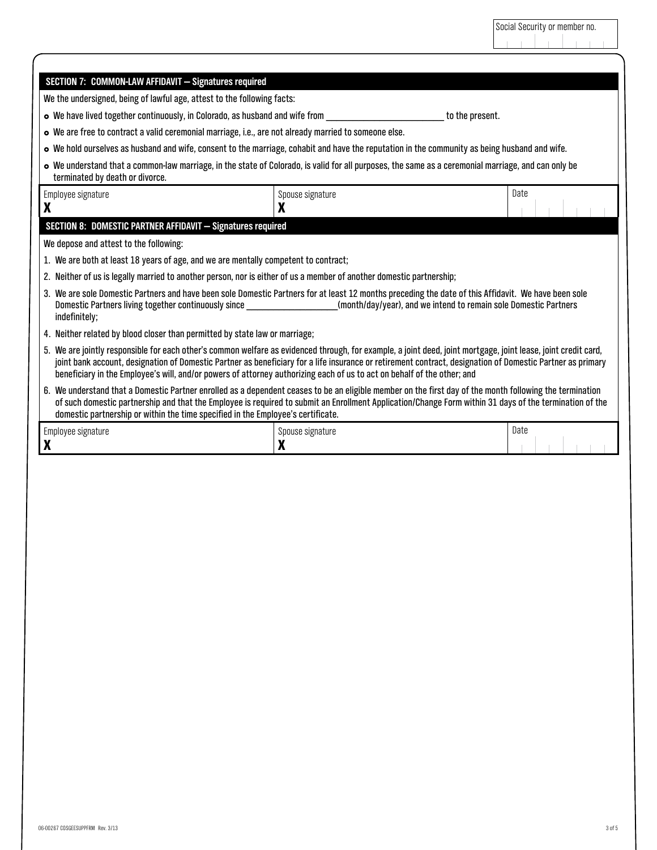| Social Security or member no. |  |  |  |  |  |  |  |  |  |
|-------------------------------|--|--|--|--|--|--|--|--|--|
|                               |  |  |  |  |  |  |  |  |  |

| SECTION 7: COMMON-LAW AFFIDAVIT - Signatures required                                                                                                                                                                                                                                                                                                                                                                                                   |                  |                 |  |  |  |  |  |  |
|---------------------------------------------------------------------------------------------------------------------------------------------------------------------------------------------------------------------------------------------------------------------------------------------------------------------------------------------------------------------------------------------------------------------------------------------------------|------------------|-----------------|--|--|--|--|--|--|
| We the undersigned, being of lawful age, attest to the following facts:                                                                                                                                                                                                                                                                                                                                                                                 |                  |                 |  |  |  |  |  |  |
| • We have lived together continuously, in Colorado, as husband and wife from                                                                                                                                                                                                                                                                                                                                                                            |                  | to the present. |  |  |  |  |  |  |
| o We are free to contract a valid ceremonial marriage, i.e., are not already married to someone else.                                                                                                                                                                                                                                                                                                                                                   |                  |                 |  |  |  |  |  |  |
| • We hold ourselves as husband and wife, consent to the marriage, cohabit and have the reputation in the community as being husband and wife.                                                                                                                                                                                                                                                                                                           |                  |                 |  |  |  |  |  |  |
| • We understand that a common-law marriage, in the state of Colorado, is valid for all purposes, the same as a ceremonial marriage, and can only be<br>terminated by death or divorce.                                                                                                                                                                                                                                                                  |                  |                 |  |  |  |  |  |  |
| Employee signature                                                                                                                                                                                                                                                                                                                                                                                                                                      | Spouse signature |                 |  |  |  |  |  |  |
| X                                                                                                                                                                                                                                                                                                                                                                                                                                                       |                  |                 |  |  |  |  |  |  |
| SECTION 8: DOMESTIC PARTNER AFFIDAVIT - Signatures required                                                                                                                                                                                                                                                                                                                                                                                             |                  |                 |  |  |  |  |  |  |
| We depose and attest to the following:                                                                                                                                                                                                                                                                                                                                                                                                                  |                  |                 |  |  |  |  |  |  |
| 1. We are both at least 18 years of age, and we are mentally competent to contract;                                                                                                                                                                                                                                                                                                                                                                     |                  |                 |  |  |  |  |  |  |
| 2. Neither of us is legally married to another person, nor is either of us a member of another domestic partnership;                                                                                                                                                                                                                                                                                                                                    |                  |                 |  |  |  |  |  |  |
| 3. We are sole Domestic Partners and have been sole Domestic Partners for at least 12 months preceding the date of this Affidavit. We have been sole<br>Domestic Partners living together continuously since ___________________________(month/day/year), and we intend to remain sole Domestic Partners<br>indefinitely;                                                                                                                               |                  |                 |  |  |  |  |  |  |
| 4. Neither related by blood closer than permitted by state law or marriage;                                                                                                                                                                                                                                                                                                                                                                             |                  |                 |  |  |  |  |  |  |
| 5. We are jointly responsible for each other's common welfare as evidenced through, for example, a joint deed, joint mortgage, joint lease, joint credit card,<br>joint bank account, designation of Domestic Partner as beneficiary for a life insurance or retirement contract, designation of Domestic Partner as primary<br>beneficiary in the Employee's will, and/or powers of attorney authorizing each of us to act on behalf of the other; and |                  |                 |  |  |  |  |  |  |
| 6. We understand that a Domestic Partner enrolled as a dependent ceases to be an eligible member on the first day of the month following the termination<br>of such domestic partnership and that the Employee is required to submit an Enrollment Application/Change Form within 31 days of the termination of the<br>domestic partnership or within the time specified in the Employee's certificate.                                                 |                  |                 |  |  |  |  |  |  |
| Employee signature                                                                                                                                                                                                                                                                                                                                                                                                                                      | Spouse signature | Date            |  |  |  |  |  |  |
| X                                                                                                                                                                                                                                                                                                                                                                                                                                                       | X                |                 |  |  |  |  |  |  |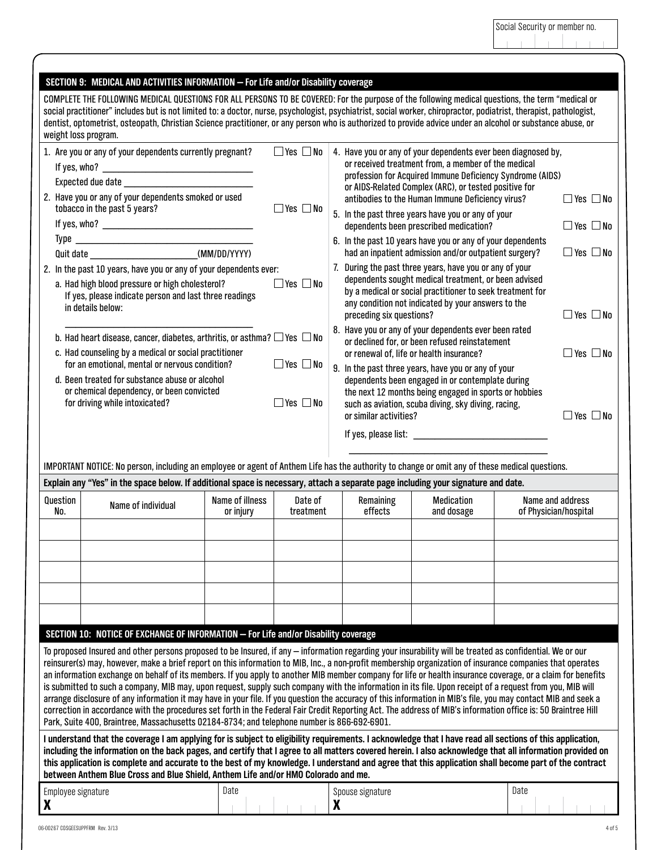|                                                                                                                                                                                                                                                                                                                                                                                                                                                                                                                                                                                                                                                                                                                                                                                                                                                                                                                                                                                                                                                                                                                                                                                                                                                                                                                                                                                                                                                                                                                                                                                                                                                                 | SECTION 9: MEDICAL AND ACTIVITIES INFORMATION - For Life and/or Disability coverage                                                                                                                                                                                                                                                                                                                                                                                                                          |                              |                                                                                                                                                                                                                                                                                        |  |                      |                                                                                                                                                                                                                                                                                                                                                                              |                                              |                                              |  |  |
|-----------------------------------------------------------------------------------------------------------------------------------------------------------------------------------------------------------------------------------------------------------------------------------------------------------------------------------------------------------------------------------------------------------------------------------------------------------------------------------------------------------------------------------------------------------------------------------------------------------------------------------------------------------------------------------------------------------------------------------------------------------------------------------------------------------------------------------------------------------------------------------------------------------------------------------------------------------------------------------------------------------------------------------------------------------------------------------------------------------------------------------------------------------------------------------------------------------------------------------------------------------------------------------------------------------------------------------------------------------------------------------------------------------------------------------------------------------------------------------------------------------------------------------------------------------------------------------------------------------------------------------------------------------------|--------------------------------------------------------------------------------------------------------------------------------------------------------------------------------------------------------------------------------------------------------------------------------------------------------------------------------------------------------------------------------------------------------------------------------------------------------------------------------------------------------------|------------------------------|----------------------------------------------------------------------------------------------------------------------------------------------------------------------------------------------------------------------------------------------------------------------------------------|--|----------------------|------------------------------------------------------------------------------------------------------------------------------------------------------------------------------------------------------------------------------------------------------------------------------------------------------------------------------------------------------------------------------|----------------------------------------------|----------------------------------------------|--|--|
|                                                                                                                                                                                                                                                                                                                                                                                                                                                                                                                                                                                                                                                                                                                                                                                                                                                                                                                                                                                                                                                                                                                                                                                                                                                                                                                                                                                                                                                                                                                                                                                                                                                                 | COMPLETE THE FOLLOWING MEDICAL QUESTIONS FOR ALL PERSONS TO BE COVERED: For the purpose of the following medical questions, the term "medical or<br>social practitioner" includes but is not limited to: a doctor, nurse, psychologist, psychiatrist, social worker, chiropractor, podiatrist, therapist, pathologist,<br>dentist, optometrist, osteopath, Christian Science practitioner, or any person who is authorized to provide advice under an alcohol or substance abuse, or<br>weight loss program. |                              |                                                                                                                                                                                                                                                                                        |  |                      |                                                                                                                                                                                                                                                                                                                                                                              |                                              |                                              |  |  |
|                                                                                                                                                                                                                                                                                                                                                                                                                                                                                                                                                                                                                                                                                                                                                                                                                                                                                                                                                                                                                                                                                                                                                                                                                                                                                                                                                                                                                                                                                                                                                                                                                                                                 | $\Box$ Yes $\Box$ No<br>1. Are you or any of your dependents currently pregnant?<br>2. Have you or any of your dependents smoked or used<br>$\Box$ Yes $\Box$ No<br>tobacco in the past 5 years?                                                                                                                                                                                                                                                                                                             |                              |                                                                                                                                                                                                                                                                                        |  |                      | 4. Have you or any of your dependents ever been diagnosed by,<br>or received treatment from, a member of the medical<br>profession for Acquired Immune Deficiency Syndrome (AIDS)<br>or AIDS-Related Complex (ARC), or tested positive for<br>$\Box$ Yes $\Box$ No<br>antibodies to the Human Immune Deficiency virus?<br>5. In the past three years have you or any of your |                                              |                                              |  |  |
|                                                                                                                                                                                                                                                                                                                                                                                                                                                                                                                                                                                                                                                                                                                                                                                                                                                                                                                                                                                                                                                                                                                                                                                                                                                                                                                                                                                                                                                                                                                                                                                                                                                                 |                                                                                                                                                                                                                                                                                                                                                                                                                                                                                                              |                              |                                                                                                                                                                                                                                                                                        |  |                      | dependents been prescribed medication?<br>6. In the past 10 years have you or any of your dependents<br>had an inpatient admission and/or outpatient surgery?                                                                                                                                                                                                                |                                              | $\Box$ Yes $\Box$ No<br>$\Box$ Yes $\Box$ No |  |  |
|                                                                                                                                                                                                                                                                                                                                                                                                                                                                                                                                                                                                                                                                                                                                                                                                                                                                                                                                                                                                                                                                                                                                                                                                                                                                                                                                                                                                                                                                                                                                                                                                                                                                 | 2. In the past 10 years, have you or any of your dependents ever:<br>a. Had high blood pressure or high cholesterol?<br>If yes, please indicate person and last three readings<br>in details below:                                                                                                                                                                                                                                                                                                          |                              | 7. During the past three years, have you or any of your<br>dependents sought medical treatment, or been advised<br>by a medical or social practitioner to seek treatment for<br>any condition not indicated by your answers to the<br>$\Box$ Yes $\Box$ No<br>preceding six questions? |  |                      |                                                                                                                                                                                                                                                                                                                                                                              |                                              |                                              |  |  |
| 8. Have you or any of your dependents ever been rated<br>b. Had heart disease, cancer, diabetes, arthritis, or asthma? $\Box$ Yes $\Box$ No<br>or declined for, or been refused reinstatement<br>c. Had counseling by a medical or social practitioner<br>or renewal of, life or health insurance?<br>$\Box$ Yes $\Box$ No<br>for an emotional, mental or nervous condition?<br>9. In the past three years, have you or any of your<br>d. Been treated for substance abuse or alcohol<br>dependents been engaged in or contemplate during<br>or chemical dependency, or been convicted<br>the next 12 months being engaged in sports or hobbies<br>$\Box$ Yes $\Box$ No<br>for driving while intoxicated?<br>such as aviation, scuba diving, sky diving, racing,<br>or similar activities?                                                                                                                                                                                                                                                                                                                                                                                                                                                                                                                                                                                                                                                                                                                                                                                                                                                                      |                                                                                                                                                                                                                                                                                                                                                                                                                                                                                                              |                              |                                                                                                                                                                                                                                                                                        |  |                      |                                                                                                                                                                                                                                                                                                                                                                              | $\Box$ Yes $\Box$ No<br>$\Box$ Yes $\Box$ No |                                              |  |  |
|                                                                                                                                                                                                                                                                                                                                                                                                                                                                                                                                                                                                                                                                                                                                                                                                                                                                                                                                                                                                                                                                                                                                                                                                                                                                                                                                                                                                                                                                                                                                                                                                                                                                 | IMPORTANT NOTICE: No person, including an employee or agent of Anthem Life has the authority to change or omit any of these medical questions.                                                                                                                                                                                                                                                                                                                                                               |                              |                                                                                                                                                                                                                                                                                        |  |                      |                                                                                                                                                                                                                                                                                                                                                                              |                                              |                                              |  |  |
|                                                                                                                                                                                                                                                                                                                                                                                                                                                                                                                                                                                                                                                                                                                                                                                                                                                                                                                                                                                                                                                                                                                                                                                                                                                                                                                                                                                                                                                                                                                                                                                                                                                                 | Explain any "Yes" in the space below. If additional space is necessary, attach a separate page including your signature and date.                                                                                                                                                                                                                                                                                                                                                                            |                              |                                                                                                                                                                                                                                                                                        |  |                      |                                                                                                                                                                                                                                                                                                                                                                              |                                              |                                              |  |  |
| Question<br>No.                                                                                                                                                                                                                                                                                                                                                                                                                                                                                                                                                                                                                                                                                                                                                                                                                                                                                                                                                                                                                                                                                                                                                                                                                                                                                                                                                                                                                                                                                                                                                                                                                                                 | Name of individual                                                                                                                                                                                                                                                                                                                                                                                                                                                                                           | Name of illness<br>or injury | Date of<br>treatment                                                                                                                                                                                                                                                                   |  | Remaining<br>effects | <b>Medication</b><br>and dosage                                                                                                                                                                                                                                                                                                                                              |                                              | Name and address<br>of Physician/hospital    |  |  |
|                                                                                                                                                                                                                                                                                                                                                                                                                                                                                                                                                                                                                                                                                                                                                                                                                                                                                                                                                                                                                                                                                                                                                                                                                                                                                                                                                                                                                                                                                                                                                                                                                                                                 |                                                                                                                                                                                                                                                                                                                                                                                                                                                                                                              |                              |                                                                                                                                                                                                                                                                                        |  |                      |                                                                                                                                                                                                                                                                                                                                                                              |                                              |                                              |  |  |
|                                                                                                                                                                                                                                                                                                                                                                                                                                                                                                                                                                                                                                                                                                                                                                                                                                                                                                                                                                                                                                                                                                                                                                                                                                                                                                                                                                                                                                                                                                                                                                                                                                                                 |                                                                                                                                                                                                                                                                                                                                                                                                                                                                                                              |                              |                                                                                                                                                                                                                                                                                        |  |                      |                                                                                                                                                                                                                                                                                                                                                                              |                                              |                                              |  |  |
|                                                                                                                                                                                                                                                                                                                                                                                                                                                                                                                                                                                                                                                                                                                                                                                                                                                                                                                                                                                                                                                                                                                                                                                                                                                                                                                                                                                                                                                                                                                                                                                                                                                                 |                                                                                                                                                                                                                                                                                                                                                                                                                                                                                                              |                              |                                                                                                                                                                                                                                                                                        |  |                      |                                                                                                                                                                                                                                                                                                                                                                              |                                              |                                              |  |  |
| SECTION 10: NOTICE OF EXCHANGE OF INFORMATION - For Life and/or Disability coverage<br>To proposed Insured and other persons proposed to be Insured, if any – information regarding your insurability will be treated as confidential. We or our<br>reinsurer(s) may, however, make a brief report on this information to MIB, Inc., a non-profit membership organization of insurance companies that operates<br>an information exchange on behalf of its members. If you apply to another MIB member company for life or health insurance coverage, or a claim for benefits<br>is submitted to such a company, MIB may, upon request, supply such company with the information in its file. Upon receipt of a request from you, MIB will<br>arrange disclosure of any information it may have in your file. If you question the accuracy of this information in MIB's file, you may contact MIB and seek a<br>correction in accordance with the procedures set forth in the Federal Fair Credit Reporting Act. The address of MIB's information office is: 50 Braintree Hill<br>Park, Suite 400, Braintree, Massachusetts 02184-8734; and telephone number is 866-692-6901.<br>I understand that the coverage I am applying for is subject to eligibility requirements. I acknowledge that I have read all sections of this application,<br>including the information on the back pages, and certify that I agree to all matters covered herein. I also acknowledge that all information provided on<br>this application is complete and accurate to the best of my knowledge. I understand and agree that this application shall become part of the contract |                                                                                                                                                                                                                                                                                                                                                                                                                                                                                                              |                              |                                                                                                                                                                                                                                                                                        |  |                      |                                                                                                                                                                                                                                                                                                                                                                              |                                              |                                              |  |  |
|                                                                                                                                                                                                                                                                                                                                                                                                                                                                                                                                                                                                                                                                                                                                                                                                                                                                                                                                                                                                                                                                                                                                                                                                                                                                                                                                                                                                                                                                                                                                                                                                                                                                 | between Anthem Blue Cross and Blue Shield, Anthem Life and/or HMO Colorado and me.                                                                                                                                                                                                                                                                                                                                                                                                                           |                              |                                                                                                                                                                                                                                                                                        |  |                      |                                                                                                                                                                                                                                                                                                                                                                              |                                              |                                              |  |  |
| Employee signature                                                                                                                                                                                                                                                                                                                                                                                                                                                                                                                                                                                                                                                                                                                                                                                                                                                                                                                                                                                                                                                                                                                                                                                                                                                                                                                                                                                                                                                                                                                                                                                                                                              |                                                                                                                                                                                                                                                                                                                                                                                                                                                                                                              | Date                         |                                                                                                                                                                                                                                                                                        |  | Spouse signature     |                                                                                                                                                                                                                                                                                                                                                                              | Date                                         |                                              |  |  |